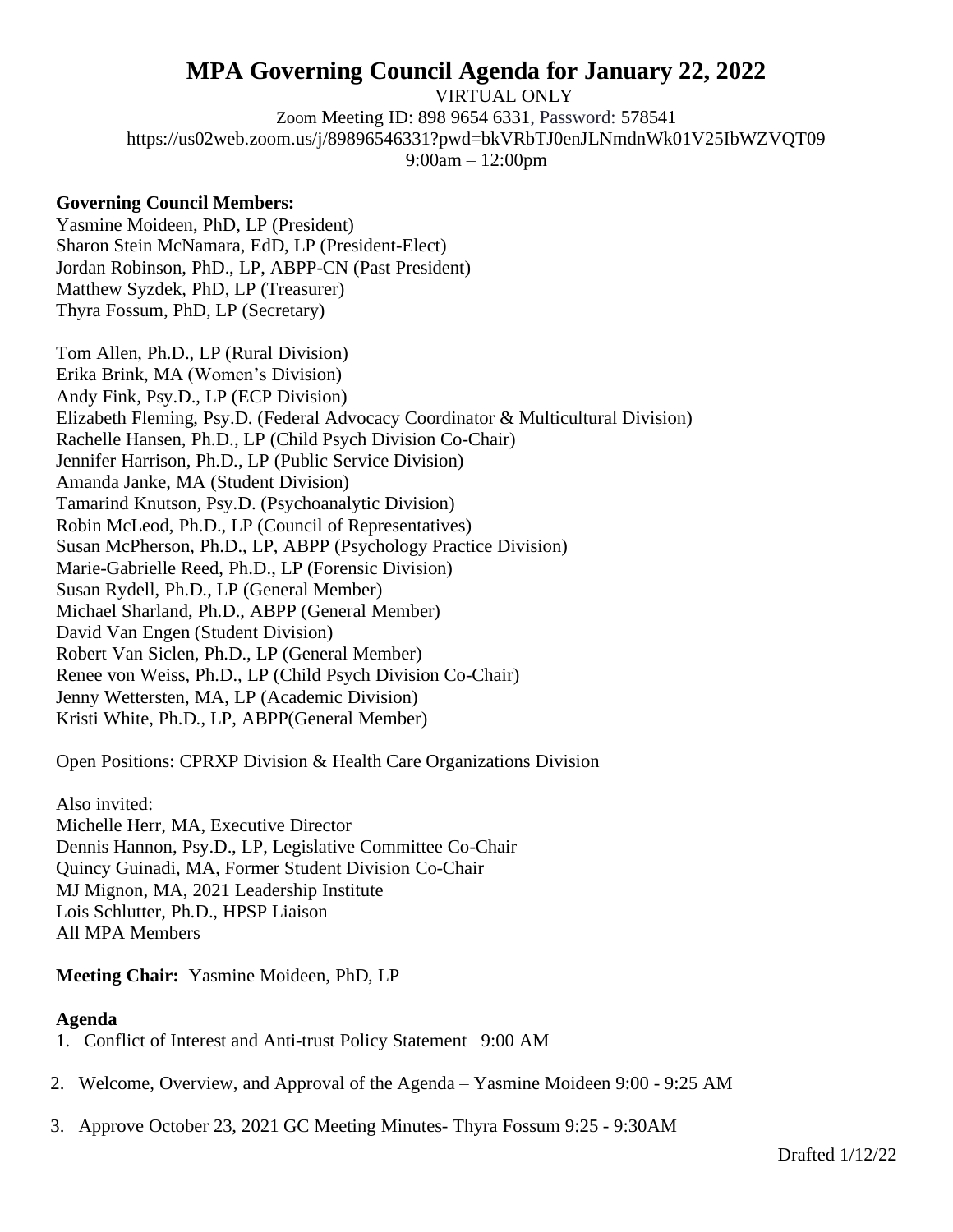## **MPA Governing Council Agenda for January 22, 2022**

VIRTUAL ONLY Zoom Meeting ID: 898 9654 6331, Password: 578541 https://us02web.zoom.us/j/89896546331?pwd=bkVRbTJ0enJLNmdnWk01V25IbWZVQT09 9:00am – 12:00pm

## **Governing Council Members:**

Yasmine Moideen, PhD, LP (President) Sharon Stein McNamara, EdD, LP (President-Elect) Jordan Robinson, PhD., LP, ABPP-CN (Past President) Matthew Syzdek, PhD, LP (Treasurer) Thyra Fossum, PhD, LP (Secretary)

Tom Allen, Ph.D., LP (Rural Division) Erika Brink, MA (Women's Division) Andy Fink, Psy.D., LP (ECP Division) Elizabeth Fleming, Psy.D. (Federal Advocacy Coordinator & Multicultural Division) Rachelle Hansen, Ph.D., LP (Child Psych Division Co-Chair) Jennifer Harrison, Ph.D., LP (Public Service Division) Amanda Janke, MA (Student Division) Tamarind Knutson, Psy.D. (Psychoanalytic Division) Robin McLeod, Ph.D., LP (Council of Representatives) Susan McPherson, Ph.D., LP, ABPP (Psychology Practice Division) Marie-Gabrielle Reed, Ph.D., LP (Forensic Division) Susan Rydell, Ph.D., LP (General Member) Michael Sharland, Ph.D., ABPP (General Member) David Van Engen (Student Division) Robert Van Siclen, Ph.D., LP (General Member) Renee von Weiss, Ph.D., LP (Child Psych Division Co-Chair) Jenny Wettersten, MA, LP (Academic Division) Kristi White, Ph.D., LP, ABPP(General Member)

Open Positions: CPRXP Division & Health Care Organizations Division

Also invited: Michelle Herr, MA, Executive Director Dennis Hannon, Psy.D., LP, Legislative Committee Co-Chair Quincy Guinadi, MA, Former Student Division Co-Chair MJ Mignon, MA, 2021 Leadership Institute Lois Schlutter, Ph.D., HPSP Liaison All MPA Members

**Meeting Chair:** Yasmine Moideen, PhD, LP

## **Agenda**

- 1. Conflict of Interest and Anti-trust Policy Statement 9:00 AM
- 2. Welcome, Overview, and Approval of the Agenda Yasmine Moideen 9:00 9:25 AM
- 3. Approve October 23, 2021 GC Meeting Minutes- Thyra Fossum 9:25 9:30AM